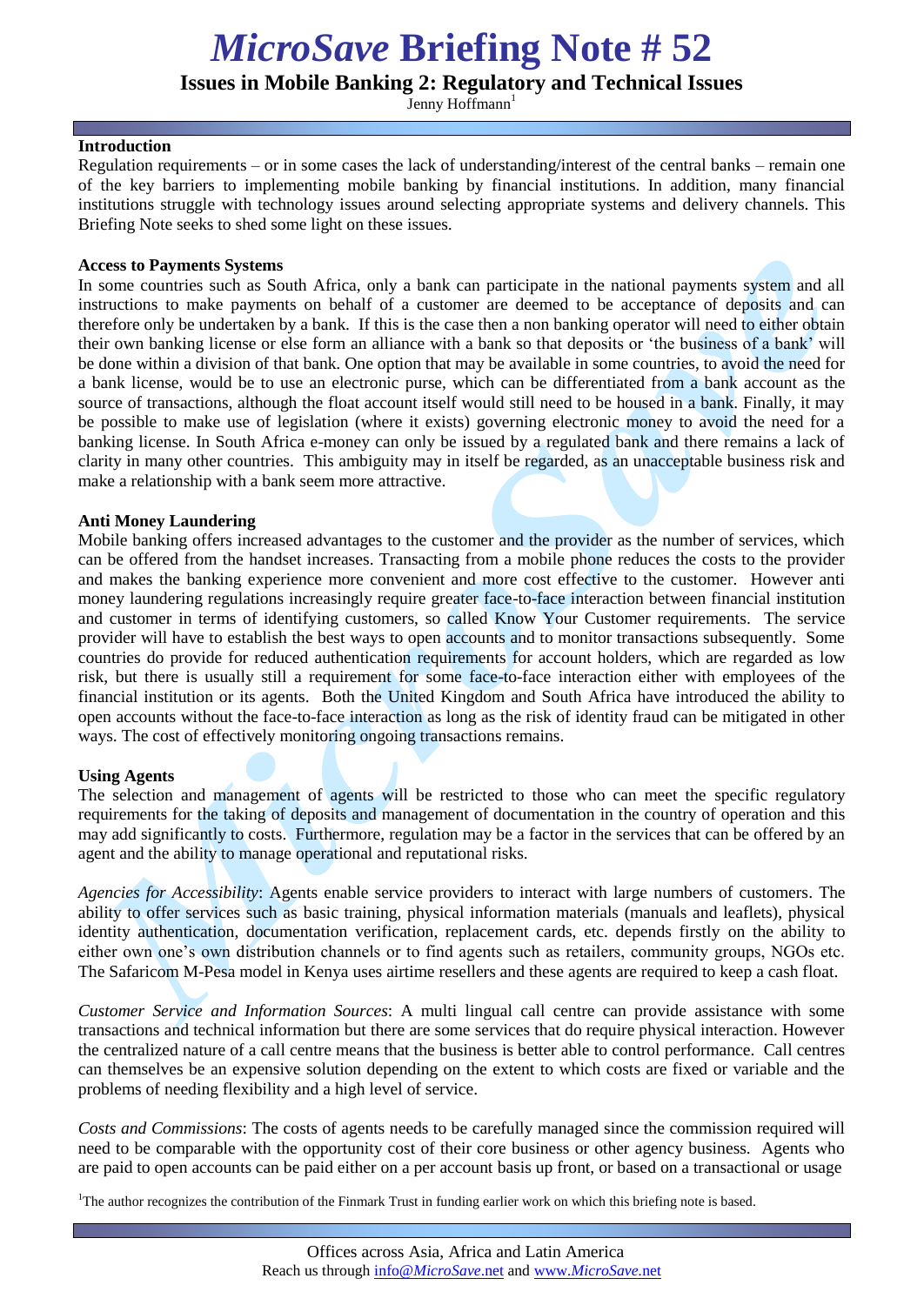# *MicroSave* **Briefing Note # 52**

**Issues in Mobile Banking 2: Regulatory and Technical Issues**

Jenny Hoffmann<sup>1</sup>

#### **Introduction**

Regulation requirements – or in some cases the lack of understanding/interest of the central banks – remain one of the key barriers to implementing mobile banking by financial institutions. In addition, many financial institutions struggle with technology issues around selecting appropriate systems and delivery channels. This Briefing Note seeks to shed some light on these issues.

#### **Access to Payments Systems**

In some countries such as South Africa, only a bank can participate in the national payments system and all instructions to make payments on behalf of a customer are deemed to be acceptance of deposits and can therefore only be undertaken by a bank. If this is the case then a non banking operator will need to either obtain their own banking license or else form an alliance with a bank so that deposits or 'the business of a bank' will be done within a division of that bank. One option that may be available in some countries, to avoid the need for a bank license, would be to use an electronic purse, which can be differentiated from a bank account as the source of transactions, although the float account itself would still need to be housed in a bank. Finally, it may be possible to make use of legislation (where it exists) governing electronic money to avoid the need for a banking license. In South Africa e-money can only be issued by a regulated bank and there remains a lack of clarity in many other countries. This ambiguity may in itself be regarded, as an unacceptable business risk and make a relationship with a bank seem more attractive.

#### **Anti Money Laundering**

Mobile banking offers increased advantages to the customer and the provider as the number of services, which can be offered from the handset increases. Transacting from a mobile phone reduces the costs to the provider and makes the banking experience more convenient and more cost effective to the customer. However anti money laundering regulations increasingly require greater face-to-face interaction between financial institution and customer in terms of identifying customers, so called Know Your Customer requirements. The service provider will have to establish the best ways to open accounts and to monitor transactions subsequently. Some countries do provide for reduced authentication requirements for account holders, which are regarded as low risk, but there is usually still a requirement for some face-to-face interaction either with employees of the financial institution or its agents. Both the United Kingdom and South Africa have introduced the ability to open accounts without the face-to-face interaction as long as the risk of identity fraud can be mitigated in other ways. The cost of effectively monitoring ongoing transactions remains.

## **Using Agents**

The selection and management of agents will be restricted to those who can meet the specific regulatory requirements for the taking of deposits and management of documentation in the country of operation and this may add significantly to costs. Furthermore, regulation may be a factor in the services that can be offered by an agent and the ability to manage operational and reputational risks.

*Agencies for Accessibility*: Agents enable service providers to interact with large numbers of customers. The ability to offer services such as basic training, physical information materials (manuals and leaflets), physical identity authentication, documentation verification, replacement cards, etc. depends firstly on the ability to either own one's own distribution channels or to find agents such as retailers, community groups, NGOs etc. The Safaricom M-Pesa model in Kenya uses airtime resellers and these agents are required to keep a cash float.

*Customer Service and Information Sources*: A multi lingual call centre can provide assistance with some transactions and technical information but there are some services that do require physical interaction. However the centralized nature of a call centre means that the business is better able to control performance. Call centres can themselves be an expensive solution depending on the extent to which costs are fixed or variable and the problems of needing flexibility and a high level of service.

*Costs and Commissions*: The costs of agents needs to be carefully managed since the commission required will need to be comparable with the opportunity cost of their core business or other agency business. Agents who are paid to open accounts can be paid either on a per account basis up front, or based on a transactional or usage

<sup>1</sup>The author recognizes the contribution of the Finmark Trust in funding earlier work on which this briefing note is based.